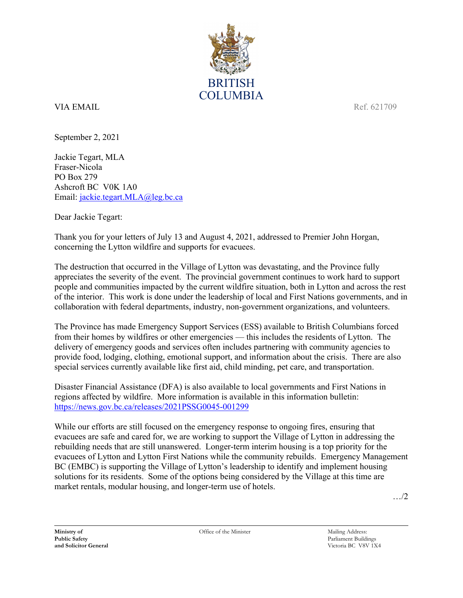

## VIA EMAIL Ref. 621709

September 2, 2021

Jackie Tegart, MLA Fraser-Nicola PO Box 279 Ashcroft BC V0K 1A0 Email: [jackie.tegart.MLA@leg.bc.ca](mailto:jackie.tegart.MLA@leg.bc.ca)

Dear Jackie Tegart:

Thank you for your letters of July 13 and August 4, 2021, addressed to Premier John Horgan, concerning the Lytton wildfire and supports for evacuees.

The destruction that occurred in the Village of Lytton was devastating, and the Province fully appreciates the severity of the event. The provincial government continues to work hard to support people and communities impacted by the current wildfire situation, both in Lytton and across the rest of the interior. This work is done under the leadership of local and First Nations governments, and in collaboration with federal departments, industry, non-government organizations, and volunteers.

The Province has made Emergency Support Services (ESS) available to British Columbians forced from their homes by wildfires or other emergencies — this includes the residents of Lytton. The delivery of emergency goods and services often includes partnering with community agencies to provide food, lodging, clothing, emotional support, and information about the crisis. There are also special services currently available like first aid, child minding, pet care, and transportation.

Disaster Financial Assistance (DFA) is also available to local governments and First Nations in regions affected by wildfire. More information is available in this information bulletin: <https://news.gov.bc.ca/releases/2021PSSG0045-001299>

While our efforts are still focused on the emergency response to ongoing fires, ensuring that evacuees are safe and cared for, we are working to support the Village of Lytton in addressing the rebuilding needs that are still unanswered. Longer-term interim housing is a top priority for the evacuees of Lytton and Lytton First Nations while the community rebuilds. Emergency Management BC (EMBC) is supporting the Village of Lytton's leadership to identify and implement housing solutions for its residents. Some of the options being considered by the Village at this time are market rentals, modular housing, and longer-term use of hotels.

…/2